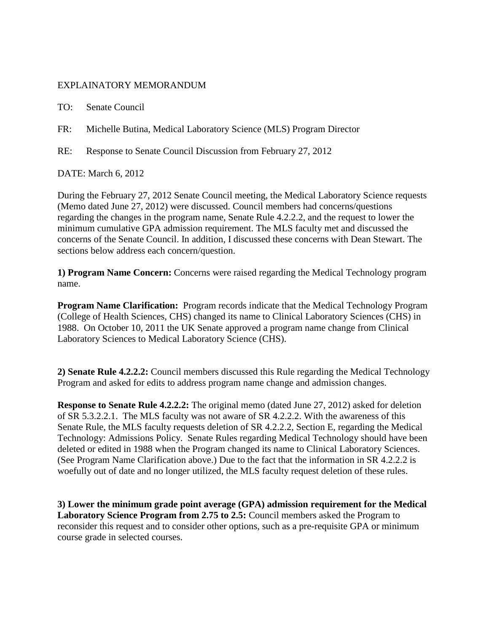## EXPLAINATORY MEMORANDUM

TO: Senate Council

FR: Michelle Butina, Medical Laboratory Science (MLS) Program Director

RE: Response to Senate Council Discussion from February 27, 2012

DATE: March 6, 2012

During the February 27, 2012 Senate Council meeting, the Medical Laboratory Science requests (Memo dated June 27, 2012) were discussed. Council members had concerns/questions regarding the changes in the program name, Senate Rule 4.2.2.2, and the request to lower the minimum cumulative GPA admission requirement. The MLS faculty met and discussed the concerns of the Senate Council. In addition, I discussed these concerns with Dean Stewart. The sections below address each concern/question.

**1) Program Name Concern:** Concerns were raised regarding the Medical Technology program name.

**Program Name Clarification:** Program records indicate that the Medical Technology Program (College of Health Sciences, CHS) changed its name to Clinical Laboratory Sciences (CHS) in 1988. On October 10, 2011 the UK Senate approved a program name change from Clinical Laboratory Sciences to Medical Laboratory Science (CHS).

**2) Senate Rule 4.2.2.2:** Council members discussed this Rule regarding the Medical Technology Program and asked for edits to address program name change and admission changes.

**Response to Senate Rule 4.2.2.2:** The original memo (dated June 27, 2012) asked for deletion of SR 5.3.2.2.1. The MLS faculty was not aware of SR 4.2.2.2. With the awareness of this Senate Rule, the MLS faculty requests deletion of SR 4.2.2.2, Section E, regarding the Medical Technology: Admissions Policy.Senate Rules regarding Medical Technology should have been deleted or edited in 1988 when the Program changed its name to Clinical Laboratory Sciences. (See Program Name Clarification above.) Due to the fact that the information in SR 4.2.2.2 is woefully out of date and no longer utilized, the MLS faculty request deletion of these rules.

**3) Lower the minimum grade point average (GPA) admission requirement for the Medical Laboratory Science Program from 2.75 to 2.5:** Council members asked the Program to reconsider this request and to consider other options, such as a pre-requisite GPA or minimum course grade in selected courses.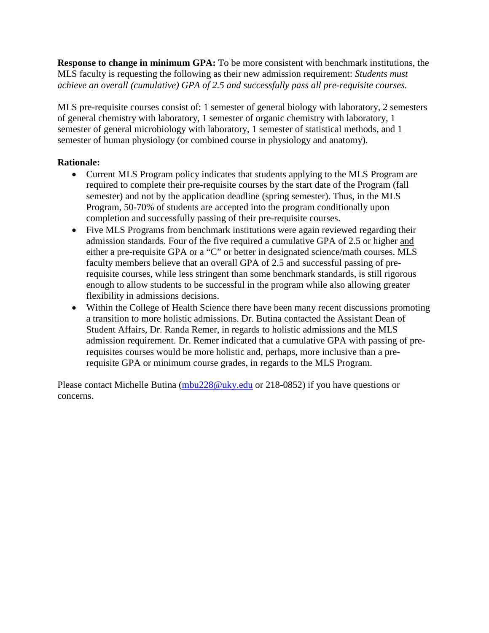**Response to change in minimum GPA:** To be more consistent with benchmark institutions, the MLS faculty is requesting the following as their new admission requirement: *Students must achieve an overall (cumulative) GPA of 2.5 and successfully pass all pre-requisite courses.* 

MLS pre-requisite courses consist of: 1 semester of general biology with laboratory, 2 semesters of general chemistry with laboratory, 1 semester of organic chemistry with laboratory, 1 semester of general microbiology with laboratory, 1 semester of statistical methods, and 1 semester of human physiology (or combined course in physiology and anatomy).

# **Rationale:**

- Current MLS Program policy indicates that students applying to the MLS Program are required to complete their pre-requisite courses by the start date of the Program (fall semester) and not by the application deadline (spring semester). Thus, in the MLS Program, 50-70% of students are accepted into the program conditionally upon completion and successfully passing of their pre-requisite courses.
- Five MLS Programs from benchmark institutions were again reviewed regarding their admission standards. Four of the five required a cumulative GPA of 2.5 or higher and either a pre-requisite GPA or a "C" or better in designated science/math courses. MLS faculty members believe that an overall GPA of 2.5 and successful passing of prerequisite courses, while less stringent than some benchmark standards, is still rigorous enough to allow students to be successful in the program while also allowing greater flexibility in admissions decisions.
- Within the College of Health Science there have been many recent discussions promoting a transition to more holistic admissions. Dr. Butina contacted the Assistant Dean of Student Affairs, Dr. Randa Remer, in regards to holistic admissions and the MLS admission requirement. Dr. Remer indicated that a cumulative GPA with passing of prerequisites courses would be more holistic and, perhaps, more inclusive than a prerequisite GPA or minimum course grades, in regards to the MLS Program.

Please contact Michelle Butina [\(mbu228@uky.edu](mailto:mbu228@uky.edu) or 218-0852) if you have questions or concerns.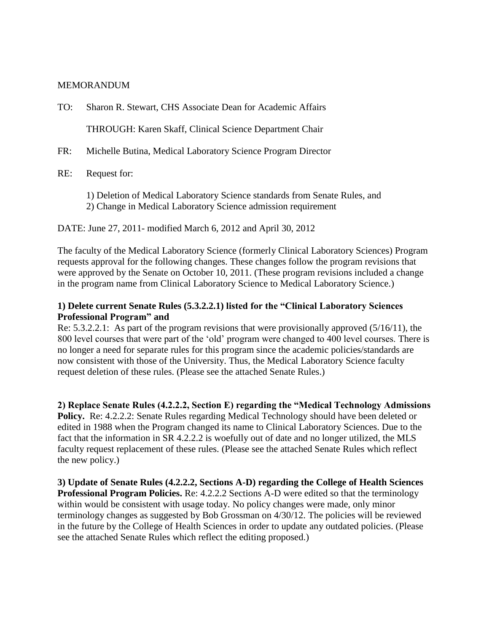#### MEMORANDUM

TO: Sharon R. Stewart, CHS Associate Dean for Academic Affairs

THROUGH: Karen Skaff, Clinical Science Department Chair

FR: Michelle Butina, Medical Laboratory Science Program Director

RE: Request for:

1) Deletion of Medical Laboratory Science standards from Senate Rules, and 2) Change in Medical Laboratory Science admission requirement

DATE: June 27, 2011- modified March 6, 2012 and April 30, 2012

The faculty of the Medical Laboratory Science (formerly Clinical Laboratory Sciences) Program requests approval for the following changes. These changes follow the program revisions that were approved by the Senate on October 10, 2011. (These program revisions included a change in the program name from Clinical Laboratory Science to Medical Laboratory Science.)

## **1) Delete current Senate Rules (5.3.2.2.1) listed for the "Clinical Laboratory Sciences Professional Program" and**

Re: 5.3.2.2.1: As part of the program revisions that were provisionally approved (5/16/11), the 800 level courses that were part of the 'old' program were changed to 400 level courses. There is no longer a need for separate rules for this program since the academic policies/standards are now consistent with those of the University. Thus, the Medical Laboratory Science faculty request deletion of these rules. (Please see the attached Senate Rules.)

**2) Replace Senate Rules (4.2.2.2, Section E) regarding the "Medical Technology Admissions Policy.** Re: 4.2.2.2: Senate Rules regarding Medical Technology should have been deleted or edited in 1988 when the Program changed its name to Clinical Laboratory Sciences. Due to the fact that the information in SR 4.2.2.2 is woefully out of date and no longer utilized, the MLS faculty request replacement of these rules. (Please see the attached Senate Rules which reflect the new policy.)

**3) Update of Senate Rules (4.2.2.2, Sections A-D) regarding the College of Health Sciences Professional Program Policies.** Re: 4.2.2.2 Sections A-D were edited so that the terminology within would be consistent with usage today. No policy changes were made, only minor terminology changes as suggested by Bob Grossman on 4/30/12. The policies will be reviewed in the future by the College of Health Sciences in order to update any outdated policies. (Please see the attached Senate Rules which reflect the editing proposed.)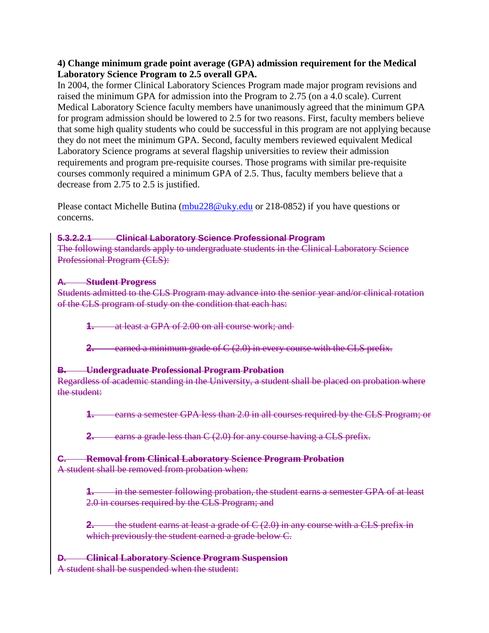## **4) Change minimum grade point average (GPA) admission requirement for the Medical Laboratory Science Program to 2.5 overall GPA.**

In 2004, the former Clinical Laboratory Sciences Program made major program revisions and raised the minimum GPA for admission into the Program to 2.75 (on a 4.0 scale). Current Medical Laboratory Science faculty members have unanimously agreed that the minimum GPA for program admission should be lowered to 2.5 for two reasons. First, faculty members believe that some high quality students who could be successful in this program are not applying because they do not meet the minimum GPA. Second, faculty members reviewed equivalent Medical Laboratory Science programs at several flagship universities to review their admission requirements and program pre-requisite courses. Those programs with similar pre-requisite courses commonly required a minimum GPA of 2.5. Thus, faculty members believe that a decrease from 2.75 to 2.5 is justified.

Please contact Michelle Butina [\(mbu228@uky.edu](mailto:mbu228@uky.edu) or 218-0852) if you have questions or concerns.

## **5.3.2.2.1 Clinical Laboratory Science Professional Program**

The following standards apply to undergraduate students in the Clinical Laboratory Science Professional Program (CLS):

# **A. Student Progress**

Students admitted to the CLS Program may advance into the senior year and/or clinical rotation of the CLS program of study on the condition that each has:

**1.** at least a GPA of 2.00 on all course work; and

**2.** earned a minimum grade of C (2.0) in every course with the CLS prefix.

# **B. Undergraduate Professional Program Probation**

Regardless of academic standing in the University, a student shall be placed on probation where the student:

**1.** earns a semester GPA less than 2.0 in all courses required by the CLS Program; or

**2.** earns a grade less than C (2.0) for any course having a CLS prefix.

# **C. Removal from Clinical Laboratory Science Program Probation**

A student shall be removed from probation when:

**1.** in the semester following probation, the student earns a semester GPA of at least 2.0 in courses required by the CLS Program; and

**2.** the student earns at least a grade of C (2.0) in any course with a CLS prefix in which previously the student earned a grade below C.

**Clinical Laboratory Science Program Suspension** 

A student shall be suspended when the student: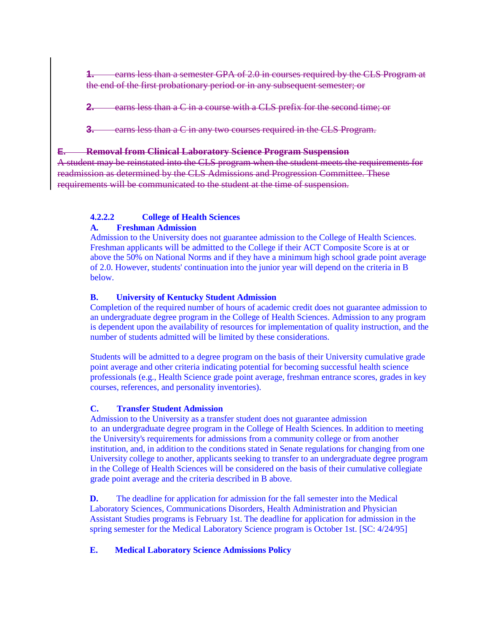**1.** earns less than a semester GPA of 2.0 in courses required by the CLS Program at the end of the first probationary period or in any subsequent semester; or

**2.** earns less than a C in a course with a CLS prefix for the second time; or

**3.** earns less than a C in any two courses required in the CLS Program.

#### **E. Removal from Clinical Laboratory Science Program Suspension**

A student may be reinstated into the CLS program when the student meets the requirements for readmission as determined by the CLS Admissions and Progression Committee. These requirements will be communicated to the student at the time of suspension.

# **4.2.2.2 College of Health Sciences**

## **A. Freshman Admission**

Admission to the University does not guarantee admission to the College of Health Sciences. Freshman applicants will be admitted to the College if their ACT Composite Score is at or above the 50% on National Norms and if they have a minimum high school grade point average of 2.0. However, students' continuation into the junior year will depend on the criteria in B below.

#### **B. University of Kentucky Student Admission**

Completion of the required number of hours of academic credit does not guarantee admission to an undergraduate degree program in the College of Health Sciences. Admission to any program is dependent upon the availability of resources for implementation of quality instruction, and the number of students admitted will be limited by these considerations.

Students will be admitted to a degree program on the basis of their University cumulative grade point average and other criteria indicating potential for becoming successful health science professionals (e.g., Health Science grade point average, freshman entrance scores, grades in key courses, references, and personality inventories).

## **C. Transfer Student Admission**

Admission to the University as a transfer student does not guarantee admission to an undergraduate degree program in the College of Health Sciences. In addition to meeting the University's requirements for admissions from a community college or from another institution, and, in addition to the conditions stated in Senate regulations for changing from one University college to another, applicants seeking to transfer to an undergraduate degree program in the College of Health Sciences will be considered on the basis of their cumulative collegiate grade point average and the criteria described in B above.

**D.** The deadline for application for admission for the fall semester into the Medical Laboratory Sciences, Communications Disorders, Health Administration and Physician Assistant Studies programs is February 1st. The deadline for application for admission in the spring semester for the Medical Laboratory Science program is October 1st. [SC: 4/24/95]

## **E. Medical Laboratory Science Admissions Policy**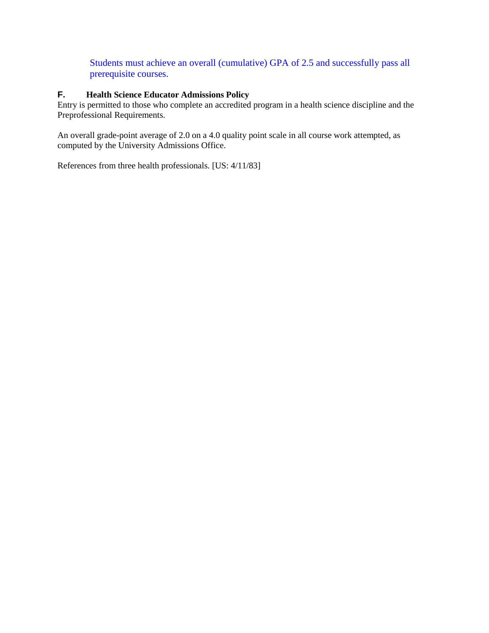Students must achieve an overall (cumulative) GPA of 2.5 and successfully pass all prerequisite courses.

# **F. Health Science Educator Admissions Policy**

Entry is permitted to those who complete an accredited program in a health science discipline and the Preprofessional Requirements.

An overall grade-point average of 2.0 on a 4.0 quality point scale in all course work attempted, as computed by the University Admissions Office.

References from three health professionals. [US: 4/11/83]